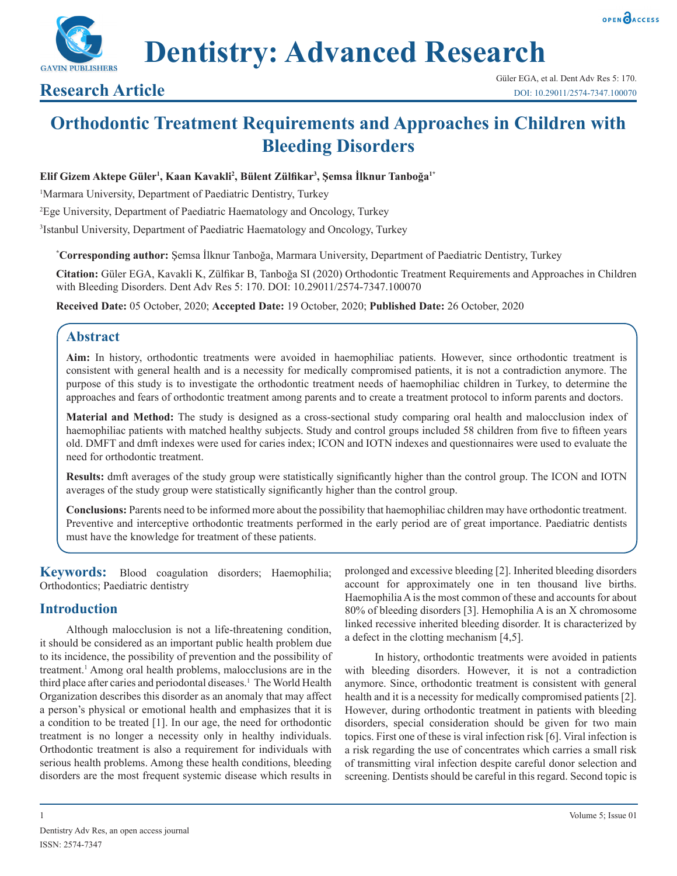

**Dentistry: Advanced Research**

# **Research Article**

# **Orthodontic Treatment Requirements and Approaches in Children with Bleeding Disorders**

#### **Elif Gizem Aktepe Güler1 , Kaan Kavakli2 , Bülent Zülfikar<sup>3</sup> , Şemsa İlknur Tanboğa1\***

<sup>1</sup>Marmara University, Department of Paediatric Dentistry, Turkey

2 Ege University, Department of Paediatric Haematology and Oncology, Turkey

3 Istanbul University, Department of Paediatric Haematology and Oncology, Turkey

**\* Corresponding author:** Şemsa İlknur Tanboğa, Marmara University, Department of Paediatric Dentistry, Turkey

**Citation:** Güler EGA, Kavakli K, Zülfikar B, Tanboğa SI (2020) Orthodontic Treatment Requirements and Approaches in Children with Bleeding Disorders. Dent Adv Res 5: 170. DOI: 10.29011/2574-7347.100070

**Received Date:** 05 October, 2020; **Accepted Date:** 19 October, 2020; **Published Date:** 26 October, 2020

# **Abstract**

**Aim:** In history, orthodontic treatments were avoided in haemophiliac patients. However, since orthodontic treatment is consistent with general health and is a necessity for medically compromised patients, it is not a contradiction anymore. The purpose of this study is to investigate the orthodontic treatment needs of haemophiliac children in Turkey, to determine the approaches and fears of orthodontic treatment among parents and to create a treatment protocol to inform parents and doctors.

**Material and Method:** The study is designed as a cross-sectional study comparing oral health and malocclusion index of haemophiliac patients with matched healthy subjects. Study and control groups included 58 children from five to fifteen years old. DMFT and dmft indexes were used for caries index; ICON and IOTN indexes and questionnaires were used to evaluate the need for orthodontic treatment.

**Results:** dmft averages of the study group were statistically significantly higher than the control group. The ICON and IOTN averages of the study group were statistically significantly higher than the control group.

**Conclusions:** Parents need to be informed more about the possibility that haemophiliac children may have orthodontic treatment. Preventive and interceptive orthodontic treatments performed in the early period are of great importance. Paediatric dentists must have the knowledge for treatment of these patients.

**Keywords:** Blood coagulation disorders; Haemophilia; Orthodontics; Paediatric dentistry

# **Introduction**

Although malocclusion is not a life-threatening condition, it should be considered as an important public health problem due to its incidence, the possibility of prevention and the possibility of treatment.<sup>1</sup> Among oral health problems, malocclusions are in the third place after caries and periodontal diseases.<sup>1</sup> The World Health Organization describes this disorder as an anomaly that may affect a person's physical or emotional health and emphasizes that it is a condition to be treated [1]. In our age, the need for orthodontic treatment is no longer a necessity only in healthy individuals. Orthodontic treatment is also a requirement for individuals with serious health problems. Among these health conditions, bleeding disorders are the most frequent systemic disease which results in

prolonged and excessive bleeding [2]. Inherited bleeding disorders account for approximately one in ten thousand live births. Haemophilia A is the most common of these and accounts for about 80% of bleeding disorders [3]. Hemophilia A is an X chromosome linked recessive inherited bleeding disorder. It is characterized by a defect in the clotting mechanism [4,5].

 In history, orthodontic treatments were avoided in patients with bleeding disorders. However, it is not a contradiction anymore. Since, orthodontic treatment is consistent with general health and it is a necessity for medically compromised patients [2]. However, during orthodontic treatment in patients with bleeding disorders, special consideration should be given for two main topics. First one of these is viral infection risk [6]. Viral infection is a risk regarding the use of concentrates which carries a small risk of transmitting viral infection despite careful donor selection and screening. Dentists should be careful in this regard. Second topic is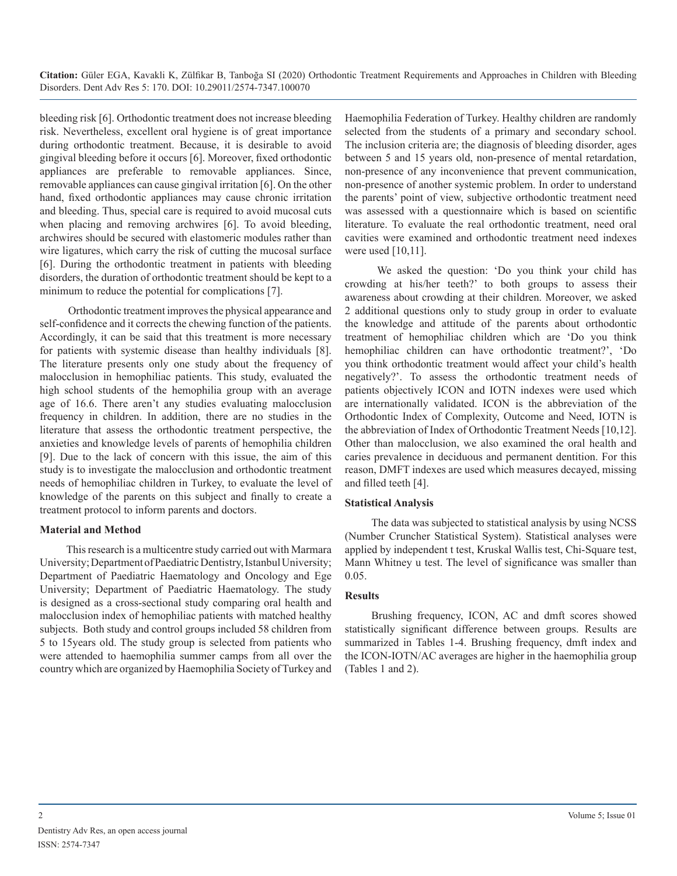bleeding risk [6]. Orthodontic treatment does not increase bleeding risk. Nevertheless, excellent oral hygiene is of great importance during orthodontic treatment. Because, it is desirable to avoid gingival bleeding before it occurs [6]. Moreover, fixed orthodontic appliances are preferable to removable appliances. Since, removable appliances can cause gingival irritation [6]. On the other hand, fixed orthodontic appliances may cause chronic irritation and bleeding. Thus, special care is required to avoid mucosal cuts when placing and removing archwires [6]. To avoid bleeding, archwires should be secured with elastomeric modules rather than wire ligatures, which carry the risk of cutting the mucosal surface [6]. During the orthodontic treatment in patients with bleeding disorders, the duration of orthodontic treatment should be kept to a minimum to reduce the potential for complications [7].

 Orthodontic treatment improves the physical appearance and self-confidence and it corrects the chewing function of the patients. Accordingly, it can be said that this treatment is more necessary for patients with systemic disease than healthy individuals [8]. The literature presents only one study about the frequency of malocclusion in hemophiliac patients. This study, evaluated the high school students of the hemophilia group with an average age of 16.6. There aren't any studies evaluating malocclusion frequency in children. In addition, there are no studies in the literature that assess the orthodontic treatment perspective, the anxieties and knowledge levels of parents of hemophilia children [9]. Due to the lack of concern with this issue, the aim of this study is to investigate the malocclusion and orthodontic treatment needs of hemophiliac children in Turkey, to evaluate the level of knowledge of the parents on this subject and finally to create a treatment protocol to inform parents and doctors.

#### **Material and Method**

This research is a multicentre study carried out with Marmara University; Department of Paediatric Dentistry, Istanbul University; Department of Paediatric Haematology and Oncology and Ege University; Department of Paediatric Haematology. The study is designed as a cross-sectional study comparing oral health and malocclusion index of hemophiliac patients with matched healthy subjects. Both study and control groups included 58 children from 5 to 15years old. The study group is selected from patients who were attended to haemophilia summer camps from all over the country which are organized by Haemophilia Society of Turkey and Haemophilia Federation of Turkey. Healthy children are randomly selected from the students of a primary and secondary school. The inclusion criteria are; the diagnosis of bleeding disorder, ages between 5 and 15 years old, non-presence of mental retardation, non-presence of any inconvenience that prevent communication, non-presence of another systemic problem. In order to understand the parents' point of view, subjective orthodontic treatment need was assessed with a questionnaire which is based on scientific literature. To evaluate the real orthodontic treatment, need oral cavities were examined and orthodontic treatment need indexes were used [10,11].

 We asked the question: 'Do you think your child has crowding at his/her teeth?' to both groups to assess their awareness about crowding at their children. Moreover, we asked 2 additional questions only to study group in order to evaluate the knowledge and attitude of the parents about orthodontic treatment of hemophiliac children which are 'Do you think hemophiliac children can have orthodontic treatment?', 'Do you think orthodontic treatment would affect your child's health negatively?'. To assess the orthodontic treatment needs of patients objectively ICON and IOTN indexes were used which are internationally validated. ICON is the abbreviation of the Orthodontic Index of Complexity, Outcome and Need, IOTN is the abbreviation of Index of Orthodontic Treatment Needs [10,12]. Other than malocclusion, we also examined the oral health and caries prevalence in deciduous and permanent dentition. For this reason, DMFT indexes are used which measures decayed, missing and filled teeth [4].

#### **Statistical Analysis**

The data was subjected to statistical analysis by using NCSS (Number Cruncher Statistical System). Statistical analyses were applied by independent t test, Kruskal Wallis test, Chi-Square test, Mann Whitney u test. The level of significance was smaller than 0.05.

#### **Results**

Brushing frequency, ICON, AC and dmft scores showed statistically significant difference between groups. Results are summarized in Tables 1-4. Brushing frequency, dmft index and the ICON-IOTN/AC averages are higher in the haemophilia group (Tables 1 and 2).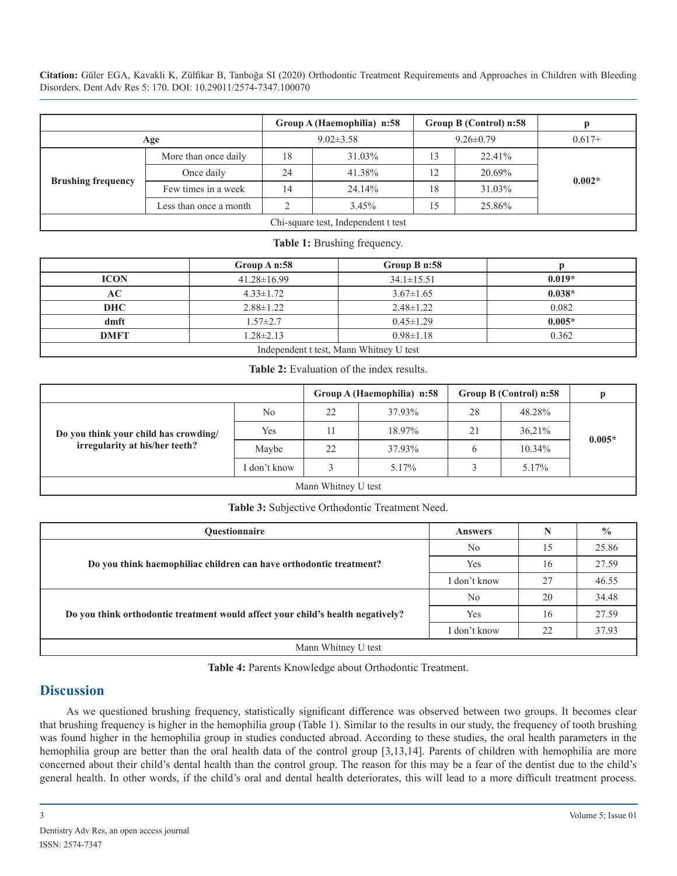|                                     | Group A (Haemophilia) n:58 |                 |          | Group B (Control) n:58 |        |          |  |
|-------------------------------------|----------------------------|-----------------|----------|------------------------|--------|----------|--|
| Age                                 |                            | $9.02 \pm 3.58$ |          | $9.26 \pm 0.79$        |        | $0.617+$ |  |
| <b>Brushing frequency</b>           | More than once daily       | 18              | 31.03%   | 13                     | 22.41% |          |  |
|                                     | Once daily                 | 24              | 41.38%   | 12                     | 20.69% | $0.002*$ |  |
|                                     | Few times in a week        | 14              | 24.14%   | 18                     | 31.03% |          |  |
|                                     | Less than once a month     |                 | $3.45\%$ | 15                     | 25.86% |          |  |
| Chi-square test, Independent t test |                            |                 |          |                        |        |          |  |

#### **Table 1:** Brushing frequency.

|                                         | Group A n:58      | Group B n:58     |          |  |  |
|-----------------------------------------|-------------------|------------------|----------|--|--|
| <b>ICON</b>                             | $41.28 \pm 16.99$ | $34.1 \pm 15.51$ | $0.019*$ |  |  |
| AC                                      | $4.33 \pm 1.72$   | $3.67 \pm 1.65$  | $0.038*$ |  |  |
| <b>DHC</b>                              | $2.88 \pm 1.22$   | $2.48 \pm 1.22$  | 0.082    |  |  |
| dmft                                    | $1.57 \pm 2.7$    | $0.45 \pm 1.29$  | $0.005*$ |  |  |
| <b>DMFT</b>                             | $1.28 \pm 2.13$   | $0.98 \pm 1.18$  | 0.362    |  |  |
| Independent t test, Mann Whitney U test |                   |                  |          |  |  |

**Table 2:** Evaluation of the index results.

|                                       |              | Group A (Haemophilia) n:58 |        | Group B (Control) n:58 |           |          |
|---------------------------------------|--------------|----------------------------|--------|------------------------|-----------|----------|
|                                       | No           | 22                         | 37.93% | 28                     | 48.28%    | $0.005*$ |
| Do you think your child has crowding/ | Yes          |                            | 18.97% | 21                     | 36,21%    |          |
| irregularity at his/her teeth?        | Maybe        | 22                         | 37.93% | b                      | $10.34\%$ |          |
|                                       | I don't know |                            | 5.17%  |                        | 5.17%     |          |
| Mann Whitney U test                   |              |                            |        |                        |           |          |

#### **Table 3:** Subjective Orthodontic Treatment Need.

| <b>Ouestionnaire</b>                                                            | <b>Answers</b> |    | $\frac{6}{9}$ |  |  |
|---------------------------------------------------------------------------------|----------------|----|---------------|--|--|
|                                                                                 | N <sub>0</sub> | 15 | 25.86         |  |  |
| Do you think haemophiliac children can have orthodontic treatment?              | Yes            | 16 | 27.59         |  |  |
|                                                                                 | I don't know   | 27 | 46.55         |  |  |
|                                                                                 | N <sub>0</sub> | 20 | 34.48         |  |  |
| Do you think orthodontic treatment would affect your child's health negatively? | Yes            | 16 | 27.59         |  |  |
|                                                                                 | I don't know   | 22 | 37.93         |  |  |
| Mann Whitney U test                                                             |                |    |               |  |  |

**Table 4:** Parents Knowledge about Orthodontic Treatment.

# **Discussion**

As we questioned brushing frequency, statistically significant difference was observed between two groups. It becomes clear that brushing frequency is higher in the hemophilia group (Table 1). Similar to the results in our study, the frequency of tooth brushing was found higher in the hemophilia group in studies conducted abroad. According to these studies, the oral health parameters in the hemophilia group are better than the oral health data of the control group [3,13,14]. Parents of children with hemophilia are more concerned about their child's dental health than the control group. The reason for this may be a fear of the dentist due to the child's general health. In other words, if the child's oral and dental health deteriorates, this will lead to a more difficult treatment process.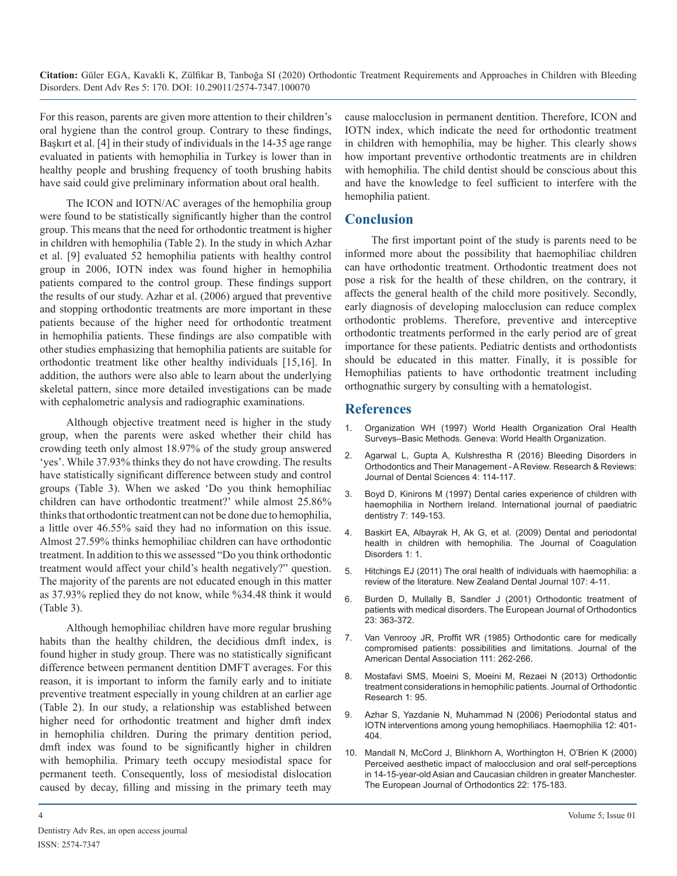For this reason, parents are given more attention to their children's oral hygiene than the control group. Contrary to these findings, Başkırt et al. [4] in their study of individuals in the 14-35 age range evaluated in patients with hemophilia in Turkey is lower than in healthy people and brushing frequency of tooth brushing habits have said could give preliminary information about oral health.

The ICON and IOTN/AC averages of the hemophilia group were found to be statistically significantly higher than the control group. This means that the need for orthodontic treatment is higher in children with hemophilia (Table 2). In the study in which Azhar et al. [9] evaluated 52 hemophilia patients with healthy control group in 2006, IOTN index was found higher in hemophilia patients compared to the control group. These findings support the results of our study. Azhar et al. (2006) argued that preventive and stopping orthodontic treatments are more important in these patients because of the higher need for orthodontic treatment in hemophilia patients. These findings are also compatible with other studies emphasizing that hemophilia patients are suitable for orthodontic treatment like other healthy individuals [15,16]. In addition, the authors were also able to learn about the underlying skeletal pattern, since more detailed investigations can be made with cephalometric analysis and radiographic examinations.

Although objective treatment need is higher in the study group, when the parents were asked whether their child has crowding teeth only almost 18.97% of the study group answered 'yes'. While 37.93% thinks they do not have crowding. The results have statistically significant difference between study and control groups (Table 3). When we asked 'Do you think hemophiliac children can have orthodontic treatment?' while almost 25.86% thinks that orthodontic treatment can not be done due to hemophilia, a little over 46.55% said they had no information on this issue. Almost 27.59% thinks hemophiliac children can have orthodontic treatment. In addition to this we assessed "Do you think orthodontic treatment would affect your child's health negatively?" question. The majority of the parents are not educated enough in this matter as 37.93% replied they do not know, while %34.48 think it would (Table 3).

Although hemophiliac children have more regular brushing habits than the healthy children, the decidious dmft index, is found higher in study group. There was no statistically significant difference between permanent dentition DMFT averages. For this reason, it is important to inform the family early and to initiate preventive treatment especially in young children at an earlier age (Table 2). In our study, a relationship was established between higher need for orthodontic treatment and higher dmft index in hemophilia children. During the primary dentition period, dmft index was found to be significantly higher in children with hemophilia. Primary teeth occupy mesiodistal space for permanent teeth. Consequently, loss of mesiodistal dislocation caused by decay, filling and missing in the primary teeth may

cause malocclusion in permanent dentition. Therefore, ICON and IOTN index, which indicate the need for orthodontic treatment in children with hemophilia, may be higher. This clearly shows how important preventive orthodontic treatments are in children with hemophilia. The child dentist should be conscious about this and have the knowledge to feel sufficient to interfere with the hemophilia patient.

# **Conclusion**

The first important point of the study is parents need to be informed more about the possibility that haemophiliac children can have orthodontic treatment. Orthodontic treatment does not pose a risk for the health of these children, on the contrary, it affects the general health of the child more positively. Secondly, early diagnosis of developing malocclusion can reduce complex orthodontic problems. Therefore, preventive and interceptive orthodontic treatments performed in the early period are of great importance for these patients. Pediatric dentists and orthodontists should be educated in this matter. Finally, it is possible for Hemophilias patients to have orthodontic treatment including orthognathic surgery by consulting with a hematologist.

# **References**

- 1. Organization WH (1997) World Health Organization Oral Health Surveys–Basic Methods. Geneva: World Health Organization.
- 2. Agarwal L, Gupta A, Kulshrestha R (2016) Bleeding Disorders in Orthodontics and Their Management - A Review. Research & Reviews: Journal of Dental Sciences 4: 114-117.
- 3. Boyd D, Kinirons M (1997) Dental caries experience of children with haemophilia in Northern Ireland. International journal of paediatric dentistry 7: 149-153.
- 4. Baskirt EA, Albayrak H, Ak G, et al. (2009) Dental and periodontal health in children with hemophilia. The Journal of Coagulation Disorders 1: 1.
- 5. Hitchings EJ (2011) The oral health of individuals with haemophilia: a review of the literature. New Zealand Dental Journal 107: 4-11.
- 6. Burden D, Mullally B, Sandler J (2001) Orthodontic treatment of patients with medical disorders. The European Journal of Orthodontics 23: 363-372.
- 7. Van Venrooy JR, Proffit WR (1985) Orthodontic care for medically compromised patients: possibilities and limitations. Journal of the American Dental Association 111: 262-266.
- 8. Mostafavi SMS, Moeini S, Moeini M, Rezaei N (2013) Orthodontic treatment considerations in hemophilic patients. Journal of Orthodontic Research 1: 95.
- 9. Azhar S, Yazdanie N, Muhammad N (2006) Periodontal status and IOTN interventions among young hemophiliacs. Haemophilia 12: 401- 404.
- 10. Mandall N, McCord J, Blinkhorn A, Worthington H, O'Brien K (2000) Perceived aesthetic impact of malocclusion and oral self-perceptions in 14-15-year-old Asian and Caucasian children in greater Manchester. The European Journal of Orthodontics 22: 175-183.